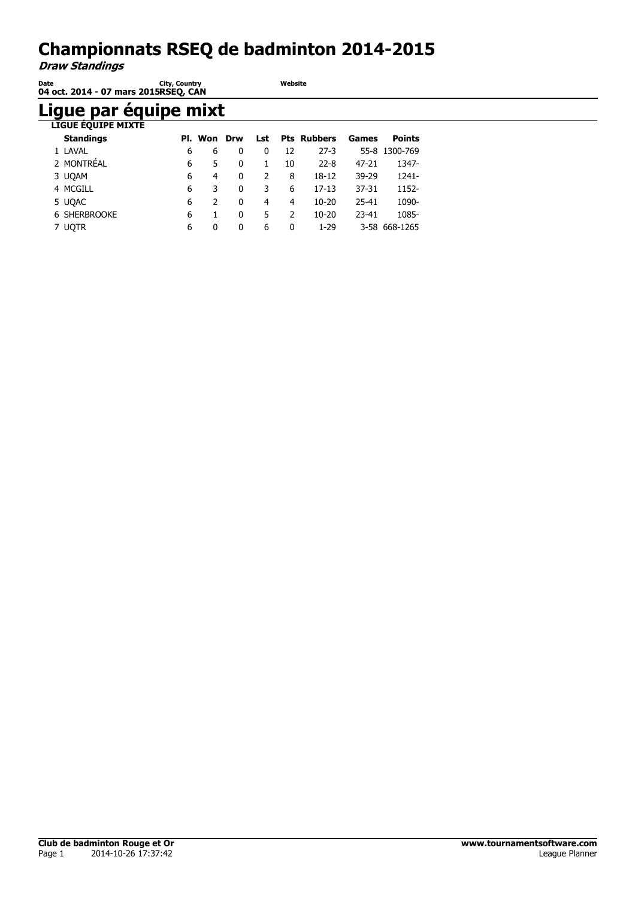#### **Championnats RSEQ de badminton 2014-2015**

**Website**

**Draw Standings**

| Date | City, Country                        |
|------|--------------------------------------|
|      | 04 oct. 2014 - 07 mars 2015RSEQ, CAN |

# **Ligue par équipe mixt**

| <b>LIGUE EQUIPE MIXTE</b> |   |               |     |     |               |                    |           |               |
|---------------------------|---|---------------|-----|-----|---------------|--------------------|-----------|---------------|
| <b>Standings</b>          |   | Pl. Won       | Drw | Lst |               | <b>Pts Rubbers</b> | Games     | <b>Points</b> |
| 1 LAVAL                   | 6 | 6             | 0   | 0   | 12            | $27-3$             |           | 55-8 1300-769 |
| 2 MONTRÉAL                | 6 | 5.            | 0   | 1.  | 10            | $22 - 8$           | $47 - 21$ | 1347-         |
| 3 UQAM                    | 6 | 4             | 0   | 2   | 8             | 18-12              | 39-29     | 1241-         |
| 4 MCGILL                  | 6 | 3             | 0   | 3   | 6             | $17 - 13$          | $37 - 31$ | 1152-         |
| 5 UQAC                    | 6 | $\mathcal{L}$ | 0   | 4   | 4             | $10 - 20$          | 25-41     | 1090-         |
| <b>6 SHERBROOKE</b>       | 6 |               | 0   | 5.  | $\mathcal{P}$ | $10 - 20$          | $23 - 41$ | 1085-         |
| <b>UOTR</b>               | 6 | 0             | 0   | 6   | 0             | $1-29$             |           | 3-58 668-1265 |
|                           |   |               |     |     |               |                    |           |               |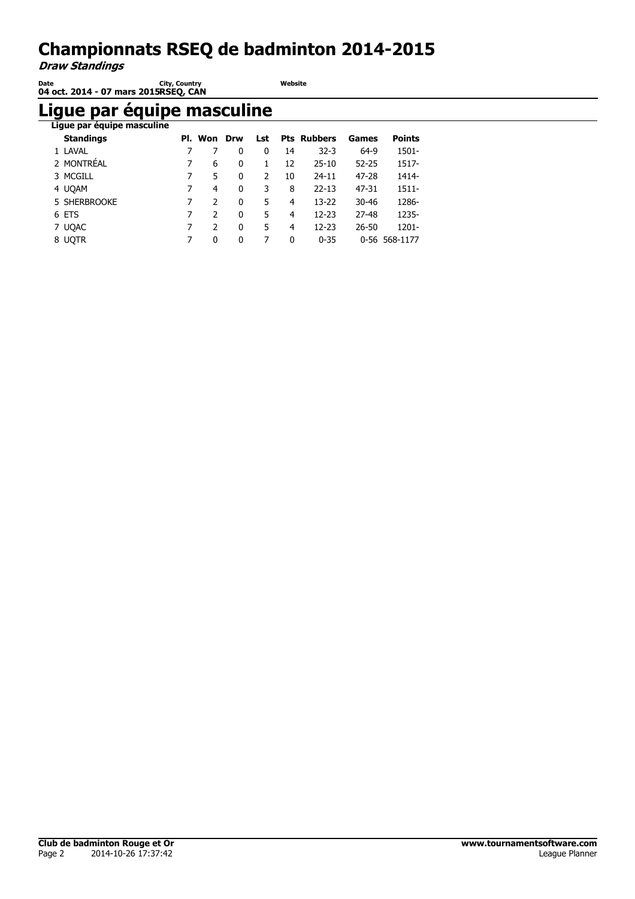# **Championnats RSEQ de badminton 2014-2015**

**Draw Standings**

| Date | <b>City, Country</b>                 | Website |
|------|--------------------------------------|---------|
|      | 04 oct. 2014 - 07 mars 2015RSEO, CAN |         |

#### **Ligue par équipe masculine**

| Ligue par équipe masculine |   |               |   |     |    |                    |           |               |
|----------------------------|---|---------------|---|-----|----|--------------------|-----------|---------------|
| <b>Standings</b>           |   | Pl. Won Drw   |   | Lst |    | <b>Pts Rubbers</b> | Games     | <b>Points</b> |
| 1 LAVAL                    |   |               | 0 | 0   | 14 | $32 - 3$           | 64-9      | 1501-         |
| 2 MONTRÉAL                 |   | 6             | 0 | 1   | 12 | $25 - 10$          | $52 - 25$ | 1517-         |
| 3 MCGILL                   |   | 5.            | 0 | 2   | 10 | $24 - 11$          | $47 - 28$ | 1414-         |
| 4 UQAM                     | 7 | 4             | 0 | 3   | 8  | $22 - 13$          | 47-31     | $1511 -$      |
| 5 SHERBROOKE               |   | $\mathcal{P}$ | 0 | 5.  | 4  | $13 - 22$          | $30 - 46$ | 1286-         |
| 6 ETS                      |   | $\mathcal{P}$ | 0 | 5   | 4  | $12 - 23$          | 27-48     | 1235-         |
| 7 UQAC                     |   | 2             | 0 | 5   | 4  | 12-23              | $26 - 50$ | 1201-         |
| 8 UOTR                     | 7 | 0             | 0 | 7   | 0  | $0 - 35$           |           | 0-56 568-1177 |
|                            |   |               |   |     |    |                    |           |               |